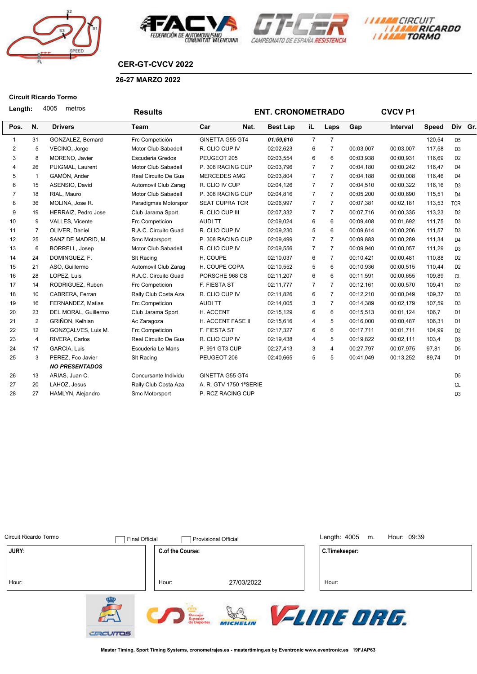







# **CER-GT-CVCV 2022**

### **26-27 MARZO 2022**

### **Circuit Ricardo Tormo**

| Length: |                |                | 4005<br>metros        | <b>Results</b>          |                        | <b>ENT. CRONOMETRADO</b> | <b>CVCV P1</b> |                |           |           |              |                |  |
|---------|----------------|----------------|-----------------------|-------------------------|------------------------|--------------------------|----------------|----------------|-----------|-----------|--------------|----------------|--|
|         | Pos.           | N.             | <b>Drivers</b>        | Team                    | Car<br>Nat.            | <b>Best Lap</b>          | iL             | Laps           | Gap       | Interval  | <b>Speed</b> | Div Gr.        |  |
|         | $\mathbf{1}$   | 31             | GONZALEZ, Bernard     | Frc Competición         | GINETTA G55 GT4        | 01:59,616                | $\overline{7}$ | $\overline{7}$ |           |           | 120,54       | D <sub>5</sub> |  |
|         | 2              | 5              | VECINO, Jorge         | Motor Club Sabadell     | R. CLIO CUP IV         | 02:02,623                | 6              | $\overline{7}$ | 00:03,007 | 00:03,007 | 117,58       | D <sub>3</sub> |  |
|         | 3              | 8              | MORENO, Javier        | <b>Escuderia Gredos</b> | PEUGEOT 205            | 02:03,554                | 6              | 6              | 00:03,938 | 00:00,931 | 116,69       | D <sub>2</sub> |  |
|         | 4              | 26             | PUIGMAL, Laurent      | Motor Club Sabadell     | P. 308 RACING CUP      | 02:03,796                | $\overline{7}$ | $\overline{7}$ | 00:04,180 | 00:00,242 | 116,47       | D <sub>4</sub> |  |
|         | 5              | $\overline{1}$ | GAMÓN, Ander          | Real Circuito De Gua    | <b>MERCEDES AMG</b>    | 02:03,804                | $\overline{7}$ | $\overline{7}$ | 00:04,188 | 00:00,008 | 116,46       | D <sub>4</sub> |  |
|         | 6              | 15             | ASENSIO, David        | Automovil Club Zarag    | R. CLIO IV CUP         | 02:04,126                | $\overline{7}$ | $\overline{7}$ | 00:04.510 | 00:00,322 | 116,16       | D <sub>3</sub> |  |
|         | $\overline{7}$ | 18             | RIAL, Mauro           | Motor Club Sabadell     | P. 308 RACING CUP      | 02:04,816                | $\overline{7}$ | $\overline{7}$ | 00:05,200 | 00:00,690 | 115,51       | D <sub>4</sub> |  |
|         | 8              | 36             | MOLINA, Jose R.       | Paradigmas Motorspor    | <b>SEAT CUPRA TCR</b>  | 02:06,997                | $\overline{7}$ | $\overline{7}$ | 00:07,381 | 00:02,181 | 113,53       | <b>TCR</b>     |  |
|         | 9              | 19             | HERRAIZ, Pedro Jose   | Club Jarama Sport       | R. CLIO CUP III        | 02:07,332                | $\overline{7}$ | $\overline{7}$ | 00:07,716 | 00:00,335 | 113,23       | D <sub>2</sub> |  |
|         | 10             | 9              | VALLES, Vicente       | Frc Competicion         | <b>AUDITT</b>          | 02:09,024                | 6              | 6              | 00:09,408 | 00:01.692 | 111,75       | D <sub>3</sub> |  |
|         | 11             | 7              | OLIVER, Daniel        | R.A.C. Circuito Guad    | R. CLIO CUP IV         | 02:09,230                | 5              | 6              | 00:09,614 | 00:00,206 | 111,57       | D <sub>3</sub> |  |
|         | 12             | 25             | SANZ DE MADRID, M.    | Smc Motorsport          | P. 308 RACING CUP      | 02:09,499                | $\overline{7}$ | $\overline{7}$ | 00:09,883 | 00:00,269 | 111,34       | D <sub>4</sub> |  |
|         | 13             | 6              | <b>BORRELL, Josep</b> | Motor Club Sabadell     | R. CLIO CUP IV         | 02:09,556                | $\overline{7}$ | $\overline{7}$ | 00:09,940 | 00:00,057 | 111,29       | D <sub>3</sub> |  |
|         | 14             | 24             | DOMINGUEZ, F.         | SIt Racing              | H. COUPE               | 02:10,037                | 6              | $\overline{7}$ | 00:10,421 | 00:00,481 | 110,88       | D <sub>2</sub> |  |
|         | 15             | 21             | ASO, Guillermo        | Automovil Club Zarag    | H. COUPE COPA          | 02:10,552                | 5              | 6              | 00:10,936 | 00:00,515 | 110,44       | D <sub>2</sub> |  |
|         | 16             | 28             | LOPEZ, Luis           | R.A.C. Circuito Guad    | PORSCHE 968 CS         | 02:11,207                | 6              | 6              | 00:11,591 | 00:00,655 | 109,89       | <b>CL</b>      |  |
|         | 17             | 14             | RODRIGUEZ, Ruben      | Frc Competicion         | F. FIESTA ST           | 02:11,777                | $\overline{7}$ | $\overline{7}$ | 00:12,161 | 00:00,570 | 109,41       | D <sub>2</sub> |  |
|         | 18             | 10             | CABRERA, Ferran       | Rally Club Costa Aza    | R. CLIO CUP IV         | 02:11,826                | 6              | $\overline{7}$ | 00:12,210 | 00:00,049 | 109,37       | D <sub>3</sub> |  |
|         | 19             | 16             | FERNANDEZ, Matias     | Frc Competicion         | <b>AUDITT</b>          | 02:14,005                | 3              | $\overline{7}$ | 00:14,389 | 00:02,179 | 107,59       | D <sub>3</sub> |  |
|         | 20             | 23             | DEL MORAL, Guillermo  | Club Jarama Sport       | H. ACCENT              | 02:15,129                | 6              | 6              | 00:15,513 | 00:01,124 | 106,7        | D <sub>1</sub> |  |
|         | 21             | $\overline{2}$ | GRIÑON, Kelhian       | Ac Zaragoza             | H. ACCENT FASE II      | 02:15,616                | $\overline{4}$ | 5              | 00:16,000 | 00:00,487 | 106,31       | D <sub>1</sub> |  |
|         | 22             | 12             | GONZCALVES, Luis M.   | Frc Competicion         | F. FIESTA ST           | 02:17,327                | 6              | 6              | 00:17,711 | 00:01,711 | 104,99       | D <sub>2</sub> |  |
|         | 23             | $\overline{4}$ | RIVERA, Carlos        | Real Circuito De Gua    | R. CLIO CUP IV         | 02:19,438                | $\overline{4}$ | 5              | 00:19,822 | 00:02,111 | 103,4        | D <sub>3</sub> |  |
|         | 24             | 17             | <b>GARCIA, Luis</b>   | Escuderia Le Mans       | P. 991 GT3 CUP         | 02:27,413                | 3              | $\overline{4}$ | 00:27,797 | 00:07,975 | 97,81        | D <sub>5</sub> |  |
|         | 25             | 3              | PEREZ, Fco Javier     | <b>SIt Racing</b>       | PEUGEOT 206            | 02:40,665                | 5              | 5              | 00:41,049 | 00:13,252 | 89,74        | D <sub>1</sub> |  |
|         |                |                | <b>NO PRESENTADOS</b> |                         |                        |                          |                |                |           |           |              |                |  |
|         | 26             | 13             | ARIAS, Juan C.        | Concursante Individu    | GINETTA G55 GT4        |                          |                |                |           |           |              | D <sub>5</sub> |  |
|         | 27             | 20             | LAHOZ, Jesus          | Rally Club Costa Aza    | A. R. GTV 1750 1ªSERIE |                          |                |                |           |           |              | <b>CL</b>      |  |
|         | 28             | 27             | HAMLYN, Alejandro     | Smc Motorsport          | P. RCZ RACING CUP      |                          |                |                |           |           |              | D <sub>3</sub> |  |
|         |                |                |                       |                         |                        |                          |                |                |           |           |              |                |  |

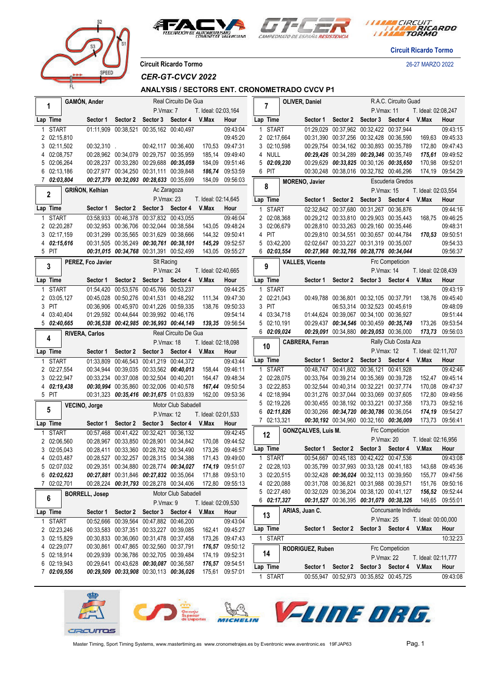





*I TARA CIRCUIT<br>I TARA RICARDO* 

**Circuit Ricardo Tormo**

**Circuit Ricardo Tormo** 26-27 MARZO 2022

*CER-GT-CVCV 2022*

# **ANALYSIS / SECTORS ENT. CRONOMETRADO CVCV P1**

| Real Circuito De Gua<br>GAMÓN, Ander |                    |                        |                                         |                            |                            | OLIVER, Daniel      |                 |                              | R.A.C. Circuito Guad |                            |                                         |                                           |                     |                                    |
|--------------------------------------|--------------------|------------------------|-----------------------------------------|----------------------------|----------------------------|---------------------|-----------------|------------------------------|----------------------|----------------------------|-----------------------------------------|-------------------------------------------|---------------------|------------------------------------|
| 1                                    |                    |                        |                                         | P.Vmax: 7                  |                            | T. Ideal: 02:03,164 |                 | 7                            |                      |                            | P.Vmax: 11                              |                                           | T. Ideal: 02:08,247 |                                    |
| Lap Time                             |                    | Sector 1               | Sector 2                                | Sector 3 Sector 4          |                            | V.Max               | Hour            | Lap Time                     |                      |                            |                                         | Sector 1 Sector 2 Sector 3 Sector 4       | V.Max               | Hour                               |
| 1                                    | <b>START</b>       |                        | 01:11,909 00:38,521                     | 00:35,162 00:40,497        |                            |                     | 09:43:04        | <b>START</b><br>1            |                      |                            | 01:29,029 00:37,962 00:32,422 00:37,944 |                                           |                     | 09:43:15                           |
|                                      | 2 02:15,810        |                        |                                         |                            |                            |                     | 09:45:20        | 2 02:17,664                  |                      |                            | 00:31,390 00:37,256 00:32,428 00:36,590 |                                           | 169.63              | 09:45:33                           |
|                                      | 3 02:11,502        | $00:32,310$ .          |                                         |                            | 00:42,117 00:36,400        | 170,53              | 09:47:31        | 3 02:10.598                  |                      |                            | 00:29,754 00:34,162 00:30,893 00:35,789 |                                           | 172,80              | 09:47:43                           |
|                                      | 4 02:08,757        |                        | 00:28,962 00:34,079 00:29,757 00:35,959 |                            |                            | 185,14              | 09:49:40        | 4 NULL                       |                      |                            | 00:29,426 00:34,289 00:29,346 00:35,749 |                                           | 175,61              | 09:49:52                           |
|                                      | 5 02:06,264        |                        | 00:28,237 00:33,280 00:29,688 00:35,059 |                            |                            | 184,09              | 09:51:46        | 502:09,230                   |                      |                            |                                         | 00:29,629 00:33,825 00:30,126 00:35,650   | 170,98              | 09:52:01                           |
|                                      | 6 02:13,186        |                        | 00:27,977 00:34,250 00:31,111 00:39,848 |                            |                            | 186,74              | 09:53:59        | 6 PIT                        |                      |                            | 00:30,248 00:38,016 00:32,782 00:46,296 |                                           | 174,19              | 09:54:29                           |
|                                      | 7 02:03,804        |                        | 00:27,379 00:32,093 00:28,633 00:35,699 |                            |                            |                     | 184,09 09:56:03 | 8                            |                      | <b>MORENO, Javier</b>      |                                         | Escuderia Gredos                          |                     |                                    |
| $\mathbf 2$                          |                    | <b>GRIÑON, Kelhian</b> |                                         | Ac Zaragoza                |                            |                     |                 |                              |                      |                            | P.Vmax: 15                              |                                           | T. Ideal: 02:03,554 |                                    |
|                                      |                    |                        |                                         | P.Vmax: 23                 |                            | T. Ideal: 02:14,645 |                 | Lap Time                     |                      | Sector 1                   |                                         | Sector 2 Sector 3 Sector 4                | V.Max               | Hour                               |
| Lap Time                             |                    | Sector 1               |                                         | Sector 2 Sector 3 Sector 4 |                            | V.Max               | Hour            | 1 START                      |                      |                            | 02:32,842 00:37,680 00:31,267 00:36,876 |                                           |                     | 09:44:16                           |
| 1 START                              |                    |                        | 03:58,933 00:46,378 00:37,832 00:43,055 |                            |                            |                     | 09:46:04        | 2 02:08,368                  |                      |                            | 00:29,212 00:33,810 00:29,903 00:35,443 |                                           | 168,75              | 09:46:25                           |
|                                      | 2 02:20,287        |                        | 00:32,953 00:36,706 00:32,044 00:38,584 |                            |                            | 143,05              | 09:48:24        | 3 02:06,679                  |                      |                            | 00:28,810 00:33,263 00:29,160 00:35,446 |                                           |                     | 09:48:31                           |
|                                      | 3 02:17,159        |                        | 00:31,299 00:35,565 00:31,629 00:38,666 |                            |                            |                     | 144,32 09:50:41 | 4 PIT                        |                      |                            |                                         | 00:29,810 00:34,551 00:30,657 00:44,784   |                     | 170,53 09:50:51                    |
|                                      | 4 02:15,616        |                        | 00:31,505 00:35,249 00:30,761 00:38,101 |                            |                            |                     | 145,29 09:52:57 | 5 03:42,200                  |                      |                            | 02:02,647 00:33,227 00:31,319 00:35,007 |                                           |                     | 09:54:33                           |
| 5 PIT                                |                    |                        | 00:31,015 00:34,768 00:31,391 00:52,499 |                            |                            |                     | 143,05 09:55:27 | 6 <i>02:03,554</i>           |                      |                            |                                         | 00:27,968 00:32,766 00:28,776 00:34,044   |                     | 09:56:37                           |
| 3                                    |                    | PEREZ, Fco Javier      |                                         | SIt Racing                 |                            |                     |                 | 9                            |                      | <b>VALLES, Vicente</b>     |                                         | Frc Competicion                           |                     |                                    |
|                                      |                    |                        |                                         | P.Vmax: 24                 |                            | T. Ideal: 02:40,665 |                 |                              |                      |                            | P.Vmax: 14                              |                                           | T. Ideal: 02:08,439 |                                    |
| Lap Time                             |                    | Sector 1               | Sector 2                                | Sector 3                   | Sector 4                   | V.Max               | Hour            | Lap Time                     |                      | Sector 1                   |                                         | Sector 2 Sector 3 Sector 4 V.Max          |                     | Hour                               |
| 1 START                              |                    |                        | 01:54,420 00:53,576 00:45,766 00:53,237 |                            |                            |                     | 09:44:25        | 1 START                      |                      |                            |                                         |                                           |                     | 09:43:19                           |
|                                      | 2 03:05,127        |                        | 00:45,028 00:50,276 00:41,531 00:48,292 |                            |                            | 111,34              | 09:47:30        | 2 02:21,043                  |                      |                            | 00:49.788 00:36.801 00:32.105 00:37.791 |                                           | 138,76              | 09:45:40                           |
| 3 PIT                                |                    |                        | 00:36,906 00:45,970 00:41,226 00:59,335 |                            |                            | 138,76              | 09:50:33        | 3 PIT                        |                      |                            | 06:53,314 00:32,523 00:45,619           |                                           |                     | 09:48:09                           |
|                                      | 4 03:40,404        |                        | 01:29,592 00:44,644 00:39,992 00:46,176 |                            |                            |                     | 09:54:14        | 4 03:34,718                  |                      |                            | 01:44,624 00:39,067 00:34,100 00:36,927 |                                           |                     | 09:51:44                           |
|                                      | $5\quad 02:40,665$ |                        | 00:36,538 00:42,985 00:36,993 00:44,149 |                            |                            |                     | 139,35 09:56:54 | $5\quad02:10,191$            |                      |                            |                                         | 00:29,437 00:34,546 00:30,459 00:35,749   | 173,26              | 09:53:54                           |
| 4                                    |                    | <b>RIVERA, Carlos</b>  |                                         |                            | Real Circuito De Gua       |                     |                 | 6 02:09,024                  |                      |                            | 00:29,091 00:34,880 00:29,053 00:36,000 |                                           |                     | 173,73 09:56:03                    |
|                                      |                    |                        |                                         | P.Vmax: 18                 |                            | T. Ideal: 02:18,098 |                 | 10                           |                      | CABRERA, Ferran            |                                         | Rally Club Costa Aza                      |                     |                                    |
| Lap Time                             |                    | Sector 1               |                                         |                            | Sector 2 Sector 3 Sector 4 | V.Max               | Hour            |                              |                      |                            | P.Vmax: 12                              |                                           | T. Ideal: 02:11,707 |                                    |
| <b>START</b>                         |                    |                        | 01:33,809 00:46,543 00:41,219 00:44,372 |                            |                            |                     | 09:43:44        | Lap Time                     |                      | Sector 1                   | Sector 2 Sector 3 Sector 4              |                                           | V.Max               | Hour                               |
|                                      | 2 02:27,554        |                        | 00:34,944 00:39,035 00:33,562 00:40,013 |                            |                            |                     | 158,44 09:46:11 | 1 START                      |                      |                            | 00:48,747 00:41,802 00:36,121 00:41,928 |                                           |                     | 09:42:46                           |
|                                      | 3 02:22,947        |                        | 00:33,234 00:37,008 00:32,504 00:40,201 |                            |                            | 164,47              | 09:48:34        | 2 02:28,075                  |                      |                            | 00:33,764 00:39,214 00:35,369 00:39,728 |                                           | 152,47              | 09:45:14                           |
|                                      | 4 02:19,438        |                        | 00:30,994 00:35,860 00:32,006 00:40,578 |                            |                            | 167,44              | 09:50:54        | 3 02:22,853                  |                      |                            | 00:32,544 00:40,314 00:32,221 00:37,774 |                                           | 170,08              | 09:47:37                           |
| 5 PIT                                |                    |                        | 00:31,323 00:35,416 00:31,675 01:03,839 |                            |                            |                     | 162,00 09:53:36 | 4 02:18,994                  |                      |                            | 00:31,276 00:37,044 00:33,069 00:37,605 |                                           | 172,80              | 09:49:56                           |
| 5                                    |                    | VECINO, Jorge          |                                         |                            | Motor Club Sabadell        |                     |                 | 5 02:19,226                  |                      |                            | 00:30,455 00:38,192 00:33,221 00:37,358 |                                           | 173,73              | 09:52:16                           |
|                                      |                    |                        |                                         | P.Vmax: 12                 |                            | T. Ideal: 02:01,533 |                 | $6\quad 02:11,826$           |                      |                            | 00:30,266 00:34,720 00:30,786 00:36,054 |                                           | 174,19              | 09:54:27                           |
| Lap Time                             |                    | Sector 1               | Sector 2                                | Sector 3                   | Sector 4                   | V.Max               | Hour            | 7 02:13,321                  |                      |                            | 00:30,192 00:34,960 00:32,160 00:36,009 |                                           | 173,73              | 09:56:41                           |
| 1 START                              |                    |                        | 00:57,468 00:41,422 00:32,421 00:36,132 |                            |                            |                     | 09:42:45        | 12                           |                      | <b>GONZCALVES, Luis M.</b> |                                         | Frc Competicion                           |                     |                                    |
|                                      | 2 02:06,560        |                        | 00:28,967 00:33,850 00:28,901 00:34,842 |                            |                            | 170,08              | 09:44:52        |                              |                      |                            | P.Vmax: 20                              |                                           | T. Ideal: 02:16,956 |                                    |
|                                      | 3 02:05,043        |                        | 00:28,411 00:33,360 00:28,782 00:34,490 |                            |                            | 173.26              | 09:46:57        | Lap Time                     |                      |                            |                                         | Sector 1 Sector 2 Sector 3 Sector 4 V.Max |                     | Hour                               |
|                                      | 4 02:03,487        |                        | 00:28,527 00:32,257 00:28,315 00:34,388 |                            |                            |                     | 171,43 09:49:00 | 1 START                      |                      |                            | 00:54,667 00:45,183 00:42,422 00:47,536 |                                           |                     | 09:43:08                           |
| 5                                    | 02:07,032          |                        | 00:29,351 00:34,880 00:28,774 00:34,027 |                            |                            |                     | 174,19 09:51:07 | 2 02:28,103                  |                      |                            | 00:35,799 00:37,993 00:33,128 00:41,183 |                                           |                     | 143,68 09:45:36                    |
|                                      | 602:02,623         |                        | 00:27,881 00:31,846 00:27,832 00:35,064 |                            |                            |                     | 171,88 09:53:10 | 3 02:20,515                  |                      |                            | 00:32,428 00:36,024 00:32,113 00:39,950 |                                           |                     | 155,77 09:47:56                    |
|                                      | 7 02:02,701        |                        | 00:28,224 00:31,793 00:28,278 00:34,406 |                            |                            |                     | 172,80 09:55:13 | 4 02:20,088                  |                      |                            | 00:31,708 00:36,821 00:31,988 00:39,571 |                                           |                     | 151,76 09:50:16                    |
| 6                                    |                    | <b>BORRELL, Josep</b>  |                                         |                            | Motor Club Sabadell        |                     |                 | 5 02:27,480<br>$6$ 02:17,327 |                      |                            | 00:32,029 00:36,204 00:38,120 00:41,127 | 00:31,527 00:36,395 00:31,079 00:38,326   |                     | 156,52 09:52:44<br>149.65 09:55:01 |
|                                      |                    |                        |                                         | P.Vmax: 9                  |                            | T. Ideal: 02:09,530 |                 |                              |                      |                            |                                         |                                           |                     |                                    |
| Lap Time                             |                    | Sector 1               | Sector 2                                | Sector 3 Sector 4          |                            | V.Max               | Hour            | 13                           |                      | ARIAS, Juan C.             |                                         | Concursante Individu                      |                     |                                    |
| 1 START                              |                    |                        | 00:52,666 00:39,564 00:47,882 00:46,200 |                            |                            |                     | 09:43:04        |                              |                      |                            | P.Vmax: 25                              |                                           | T. Ideal: 00:00,000 |                                    |
|                                      | 2 02:23,246        |                        | 00:33,583 00:37,351 00:33,227 00:39,085 |                            |                            | 162,41              | 09:45:27        | Lap Time                     |                      |                            |                                         | Sector 1 Sector 2 Sector 3 Sector 4 V.Max |                     | Hour                               |
|                                      | 3 02:15,829        |                        | 00:30,833 00:36,060 00:31,478 00:37,458 |                            |                            |                     | 173,26 09:47:43 | 1 START                      |                      |                            |                                         |                                           |                     | 10:32:23                           |
|                                      | 4 02:29,077        |                        | 00:30.861 00:47.865 00:32.560 00:37.791 |                            |                            |                     | 176,57 09:50:12 | 14                           |                      | <b>RODRIGUEZ, Ruben</b>    |                                         | Frc Competicion                           |                     |                                    |
|                                      | 5 02:18,914        |                        | 00:29,939 00:36,786 00:32,705 00:39,484 |                            |                            |                     | 174,19 09:52:31 |                              |                      |                            | P.Vmax: 22                              |                                           | T. Ideal: 02:11,777 |                                    |
|                                      | 6 02:19,943        |                        | 00:29,641 00:43,628 00:30,087 00:36,587 |                            |                            |                     | 176,57 09:54:51 | Lap Time                     |                      |                            |                                         | Sector 1 Sector 2 Sector 3 Sector 4 V.Max |                     | Hour                               |
|                                      | 7 02:09,556        |                        | 00:29,509 00:33,908 00:30,113 00:36,026 |                            |                            |                     | 175,61 09:57:01 | 1 START                      |                      |                            | 00:55,947 00:52,973 00:35,852 00:45,725 |                                           |                     | 09:43:08                           |

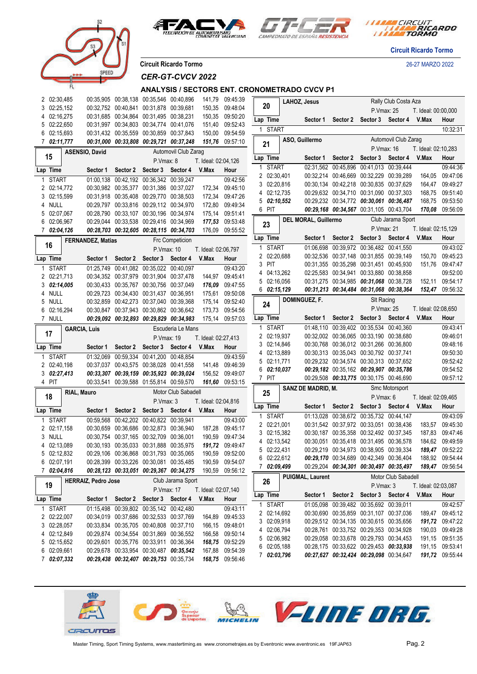







**Circuit Ricardo Tormo**

**Circuit Ricardo Tormo** 26-27 MARZO 2022

*CER-GT-CVCV 2022*

### **ANALYSIS / SECTORS ENT. CRONOMETRADO CVCV P1**

|   | 2 02:30,485           |                     |                            |                   | 00:35,905 00:38,138 00:35,546 00:40,896                                            |                      | 141,79              | 09:45:39                    |              |                            | LAHOZ, Jesus                            |                                                                                    |                         | Rally Club Costa Aza |                     |                                    |
|---|-----------------------|---------------------|----------------------------|-------------------|------------------------------------------------------------------------------------|----------------------|---------------------|-----------------------------|--------------|----------------------------|-----------------------------------------|------------------------------------------------------------------------------------|-------------------------|----------------------|---------------------|------------------------------------|
|   | 3 02:25,152           |                     |                            |                   | 00:32,752 00:40,841 00:31,878 00:39,681                                            |                      | 150,35              | 09:48:04                    | 20           |                            |                                         |                                                                                    | P.Vmax: 25              |                      | T. Ideal: 00:00,000 |                                    |
|   | 4 02:16,275           |                     |                            |                   | 00:31,685 00:34,864 00:31,495 00:38,231                                            |                      | 150,35              | 09:50:20                    | Lap Time     |                            | Sector 1                                | Sector 2                                                                           | Sector 3 Sector 4       |                      | V.Max               | Hour                               |
| 5 | 02:22,650             |                     |                            |                   | 00:31,997 00:34,803 00:34,774 00:41,076                                            |                      | 151,40              | 09:52:43                    |              | 1 START                    |                                         |                                                                                    |                         |                      |                     | 10:32:31                           |
| 6 | 02:15,693             |                     |                            |                   | 00:31,432 00:35,559 00:30,859 00:37,843<br>00:31,000 00:33,808 00:29,721 00:37,248 |                      | 150,00              | 09:54:59                    |              |                            | ASO, Guillermo                          |                                                                                    |                         | Automovil Club Zarag |                     |                                    |
|   | 7 02:11,777           |                     |                            |                   |                                                                                    |                      |                     | 151,76 09:57:10             | 21           |                            |                                         |                                                                                    | P. Vmax: 16             |                      | T. Ideal: 02:10,283 |                                    |
|   | 15                    | ASENSIO, David      |                            |                   |                                                                                    | Automovil Club Zaraq |                     |                             | Lap Time     |                            | Sector 1                                | Sector 2                                                                           | Sector 3 Sector 4       |                      | V.Max               | Hour                               |
|   |                       |                     |                            |                   | P.Vmax: 8                                                                          |                      | T. Ideal: 02:04,126 |                             | 1            | START                      | 02:31,562 00:45,896 00:41,013 00:39,444 |                                                                                    |                         |                      |                     | 09:44:36                           |
|   | Lap Time              |                     | Sector 1                   |                   | Sector 2 Sector 3 Sector 4                                                         |                      | V.Max               | Hour                        |              | 2 02:30,401                | 00:32,214 00:46,669 00:32,229 00:39,289 |                                                                                    |                         |                      |                     | 164.05 09:47:06                    |
|   | 1 START               |                     |                            |                   | 01:00.138 00:42.192 00:36.342 00:39.247                                            |                      |                     | 09:42:56                    |              | 3 02:20,816                | 00:30,134 00:42,218 00:30,835 00:37,629 |                                                                                    |                         |                      |                     | 164,47 09:49:27                    |
|   | 2 02:14,772           |                     |                            |                   | 00:30.982 00:35.377 00:31.386 00:37.027                                            |                      |                     | 172,34 09:45:10             |              | 4 02:12,735                | 00:29.632 00:34.710 00:31.090 00:37.303 |                                                                                    |                         |                      | 168,75              | 09:51:40                           |
|   | 3 02:15,599<br>4 NULL |                     |                            |                   | 00:31,918 00:35,408 00:29,770 00:38,503<br>00:29,797 00:33,816 00:29,112 00:34,970 |                      | 172,80              | 172,34 09:47:26<br>09:49:34 |              | 5 02:10,552                | 00:29,232 00:34,772 00:30,061 00:36,487 |                                                                                    |                         |                      | 168,75              | 09:53:50                           |
| 5 | 02:07,067             |                     |                            |                   | 00:28,790 00:33,107 00:30,196 00:34,974                                            |                      |                     | 175,14 09:51:41             | 6 PIT        |                            |                                         | 00:29,168 00:34,567 00:31,105 00:43,704                                            |                         |                      | 170,08              | 09:56:09                           |
|   | 6 02:06,967           |                     |                            |                   | 00:29,044 00:33,538 00:29,416 00:34,969                                            |                      |                     | 177,53 09:53:48             |              |                            | DEL MORAL, Guillermo                    |                                                                                    |                         | Club Jarama Sport    |                     |                                    |
|   | 7 02:04,126           |                     |                            |                   | 00:28,703 00:32,605 00:28,115 00:34,703                                            |                      | 176,09              | 09:55:52                    | 23           |                            |                                         |                                                                                    | P. Vmax: 21             |                      | T. Ideal: 02:15,129 |                                    |
|   |                       |                     | <b>FERNANDEZ, Matias</b>   |                   |                                                                                    | Frc Competicion      |                     |                             | Lap Time     |                            |                                         | Sector 1 Sector 2 Sector 3 Sector 4 V.Max                                          |                         |                      |                     | Hour                               |
|   | 16                    |                     |                            |                   | P. Vmax: 10                                                                        |                      | T. Ideal: 02:06,797 |                             |              | 1 START                    |                                         | 01:06,698 00:39,972 00:36,482 00:41,550                                            |                         |                      |                     | 09:43:02                           |
|   | Lap Time              |                     |                            | Sector 1 Sector 2 | Sector 3 Sector 4                                                                  |                      | V.Max               | Hour                        |              | 2 02:20,688                |                                         | 00:32,536 00:37,148 00:31,855 00:39,149                                            |                         |                      | 150,70              | 09:45:23                           |
|   | 1 START               |                     |                            |                   | 01:25,749 00:41,082 00:35,022 00:40,097                                            |                      |                     | 09:43:20                    | 3 PIT        |                            |                                         | 00:31,355 00:35,298 00:31,451 00:45,930                                            |                         |                      | 151,76              | 09:47:47                           |
|   | 2 02:21,713           |                     |                            |                   | 00:34,352 00:37,979 00:31,904 00:37,478                                            |                      |                     | 144,97 09:45:41             |              | 4 04:13,262                | 02:25,583 00:34,941 00:33,880 00:38,858 |                                                                                    |                         |                      |                     | 09:52:00                           |
|   | 302:14,005            |                     |                            |                   | 00:30,433 00:35,767 00:30,756 00:37,049                                            |                      | 176,09              | 09:47:55                    |              | 5 02:16,056                |                                         | 00:31,275 00:34,985 00:31,068 00:38,728                                            |                         |                      | 152,11              | 09:54:17                           |
|   | 4 NULL                |                     |                            |                   | 00:29,723 00:34,430 00:31,437 00:36,951                                            |                      | 175,61              | 09:50:08                    |              | $6$ 02:15,129              |                                         | 00:31,213 00:34,484 00:31,068 00:38,364                                            |                         |                      | 152,47              | 09:56:32                           |
|   | 5 NULL                |                     |                            |                   | 00:32,859 00:42,273 00:37,040 00:39,368                                            |                      | 175,14              | 09:52:40                    | 24           |                            | DOMINGUEZ, F.                           |                                                                                    | <b>SIt Racing</b>       |                      |                     |                                    |
|   | 6 02:16,294           |                     |                            |                   | 00:30,847 00:37,943 00:30,862 00:36,642                                            |                      | 173,73              | 09:54:56                    |              |                            |                                         |                                                                                    | P. Vmax: 25             |                      | T. Ideal: 02:08,650 |                                    |
|   | 7 NULL                |                     |                            |                   | 00:29,092 00:32,893 00:29,829 00:34,983                                            |                      |                     | 175,14 09:57:03             | Lap Time     |                            | Sector 1                                | Sector 2                                                                           | Sector 3 Sector 4 V.Max |                      |                     | Hour                               |
|   | 17                    | <b>GARCIA, Luis</b> |                            |                   |                                                                                    | Escuderia Le Mans    |                     |                             |              | 1 START                    | 01:48,110 00:39,402 00:35,534 00:40,360 |                                                                                    |                         |                      |                     | 09:43:41                           |
|   |                       |                     |                            |                   | P.Vmax: 19                                                                         |                      | T. Ideal: 02:27,413 |                             |              | 2 02:19,937                |                                         | 00:32,002 00:36,065 00:33,190 00:38,680                                            |                         |                      |                     | 09:46:01                           |
|   | Lap Time              |                     | Sector 1                   | Sector 2          | Sector 3                                                                           | Sector 4             | V.Max               | Hour                        |              | 3 02:14,846<br>4 02:13,889 |                                         | 00:30,768 00:36,012 00:31,266 00:36,800<br>00:30,313 00:35,043 00:30,792 00:37,741 |                         |                      |                     | 09:48:16<br>09:50:30               |
|   | 1 START               |                     |                            |                   | 01:32,069 00:59,334 00:41,200 00:48,854                                            |                      |                     | 09:43:59                    |              | 5 02:11,771                |                                         | 00:29,232 00:34,574 00:30,313 00:37,652                                            |                         |                      |                     | 09:52:42                           |
|   | 2 02:40,198           |                     |                            |                   | 00:37,037 00:43,575 00:38,028 00:41,558                                            |                      | 141,48              | 09:46:39                    |              | $6\quad 02:10,037$         |                                         | 00:29,182 00:35,162 00:29,907 00:35,786                                            |                         |                      |                     | 09:54:52                           |
|   | $3 \t02:27,413$       |                     |                            |                   | 00:33,307 00:39,159 00:35,923 00:39,024                                            |                      |                     | 156,52 09:49:07             | 7 PIT        |                            |                                         | 00:29,508 00:33,775 00:30,175 00:46,690                                            |                         |                      |                     | 09:57:12                           |
|   | 4 PIT                 |                     |                            |                   | 00:33,541 00:39,588 01:55,814 00:59,570                                            |                      |                     | 161,60 09:53:15             |              |                            | SANZ DE MADRID, M.                      |                                                                                    |                         | Smc Motorsport       |                     |                                    |
|   | 18                    | RIAL, Mauro         |                            |                   |                                                                                    | Motor Club Sabadell  |                     |                             | 25           |                            |                                         |                                                                                    | P.Vmax: 6               |                      | T. Ideal: 02:09,465 |                                    |
|   |                       |                     |                            |                   | P.Vmax: 3                                                                          |                      | T. Ideal: 02:04,816 |                             | Lap Time     |                            | Sector 1                                | Sector 2                                                                           | Sector 3 Sector 4       |                      | V.Max               | Hour                               |
|   | Lap Time              |                     | Sector 1                   |                   | Sector 2 Sector 3 Sector 4                                                         |                      | V.Max               | Hour                        | $\mathbf{1}$ | START                      |                                         | 01:13,028 00:38,672 00:35,732 00:44,147                                            |                         |                      |                     | 09:43:09                           |
|   | <b>START</b>          |                     |                            |                   | 00:59,568 00:42,202 00:40,822 00:39,941                                            |                      |                     | 09:43:00                    |              | 2 02:21,001                | 00:31,542 00:37,972 00:33,051 00:38,436 |                                                                                    |                         |                      | 183,57              | 09:45:30                           |
|   | 2 02:17,158<br>3 NULL |                     |                            |                   | 00:30,659 00:36,686 00:32,873 00:36,940<br>00:30,754 00:37,165 00:32,709 00:36,001 |                      | 187,28<br>190,59    | 09:45:17<br>09:47:34        |              | 3 02:15,382                |                                         | 00:30,187 00:35,358 00:32,492 00:37,345                                            |                         |                      | 187,83              | 09:47:46                           |
|   | 4 02:13,089           |                     |                            |                   | 00:30,193 00:35,033 00:31,888 00:35,975                                            |                      |                     | 191,72 09:49:47             |              | 4 02:13,542                | 00:30,051 00:35,418 00:31,495 00:36,578 |                                                                                    |                         |                      | 184,62              | 09:49:59                           |
|   | 5 02:12,832           |                     |                            |                   | 00:29,106 00:36,868 00:31,793 00:35,065                                            |                      |                     | 190,59 09:52:00             |              | 5 02:22,431                |                                         | 00:29,219 00:34,973 00:38,905 00:39,334                                            |                         |                      |                     | 189,47 09:52:22                    |
|   | 6 02:07,191           |                     |                            |                   | 00:28,399 00:33,226 00:30,081 00:35,485                                            |                      | 190,59 09:54:07     |                             |              | 6 02:22,612                |                                         | 00:29,170 00:34,689 00:42,349 00:36,404                                            |                         |                      |                     | 188,92 09:54:44                    |
|   | 7 02:04,816           |                     |                            |                   | 00:28,123 00:33,051 00:29,367 00:34,275 190,59 09:56:12                            |                      |                     |                             |              | 7 02:09,499                |                                         | 00:29,204 00:34,301 00:30,497 00:35,497                                            |                         |                      |                     | 189,47 09:56:54                    |
|   |                       |                     | <b>HERRAIZ, Pedro Jose</b> |                   |                                                                                    | Club Jarama Sport    |                     |                             | 26           |                            | <b>PUIGMAL, Laurent</b>                 |                                                                                    |                         | Motor Club Sabadell  |                     |                                    |
|   | 19                    |                     |                            |                   | P.Vmax: 17                                                                         |                      | T. Ideal: 02:07,140 |                             |              |                            |                                         |                                                                                    | P.Vmax: 3               |                      | T. Ideal: 02:03,087 |                                    |
|   | Lap Time              |                     |                            |                   | Sector 1 Sector 2 Sector 3 Sector 4                                                |                      | V.Max               | Hour                        | Lap Time     |                            |                                         | Sector 1 Sector 2 Sector 3 Sector 4 V.Max                                          |                         |                      |                     | Hour                               |
|   | 1 START               |                     |                            |                   | 01:15,498 00:39,802 00:35,142 00:42,480                                            |                      |                     | 09:43:11                    |              | 1 START                    |                                         | 01:05,098 00:39,482 00:35,692 00:39,011                                            |                         |                      |                     | 09:42:57                           |
|   | 2 02:22,007           |                     |                            |                   | 00:34,019 00:37,686 00:32,533 00:37,769                                            |                      |                     | 164,89 09:45:33             |              | 2 02:14,692                |                                         | 00:30.690 00:35.859 00:31.107 00:37.036                                            |                         |                      |                     | 189,47 09:45:12                    |
|   | 3 02:28,057           |                     |                            |                   | 00:33,834 00:35,705 00:40,808 00:37,710                                            |                      |                     | 166,15 09:48:01             |              | 3 02:09,918                |                                         | 00:29,512 00:34,135 00:30,615 00:35,656                                            |                         |                      |                     | 191,72 09:47:22                    |
|   | 4 02:12,849           |                     |                            |                   | 00:29,874 00:34,554 00:31,869 00:36,552                                            |                      |                     | 166,58 09:50:14             |              | 4 02:06,794                |                                         | 00:28,761 00:33,752 00:29,353 00:34,928                                            |                         |                      |                     | 190,03 09:49:28                    |
|   | 5 02:15,652           |                     |                            |                   | 00:29,601 00:35,776 00:33,911 00:36,364                                            |                      |                     | 168,75 09:52:29             |              | 5 02:06,982<br>6 02:05,188 | 00:28,175 00:33,622 00:29,453 00:33,938 | 00:29,058 00:33,678 00:29,793 00:34,453                                            |                         |                      |                     | 191,15 09:51:35<br>191,15 09:53:41 |
|   | 6 02:09,661           |                     |                            |                   | 00:29.678 00:33.954 00:30.487 00:35.542                                            |                      |                     | 167,88 09:54:39             |              | 7 02:03,796                |                                         | 00:27,627 00:32,424 00:29,098 00:34,647                                            |                         |                      |                     | 191,72 09:55:44                    |
|   | 7 02:07,332           |                     |                            |                   | 00:29,438 00:32,407 00:29,753 00:35,734                                            |                      |                     | 168,75 09:56:46             |              |                            |                                         |                                                                                    |                         |                      |                     |                                    |

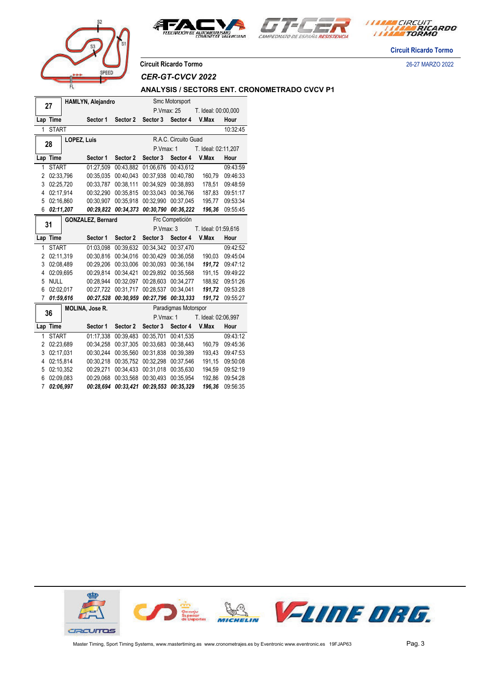





**Circuit Ricardo Tormo**

**Circuit Ricardo Tormo** 26-27 MARZO 2022

prer

*CER-GT-CVCV 2022*

### **ANALYSIS / SECTORS ENT. CRONOMETRADO CVCV P1**

|                | 27           |             | HAMLYN, Alejandro        |           |            | Smc Motorsport       |                     |          |
|----------------|--------------|-------------|--------------------------|-----------|------------|----------------------|---------------------|----------|
|                |              |             |                          |           | P.Vmax: 25 |                      | T. Ideal: 00:00,000 |          |
| Lap Time       |              |             | Sector 1                 | Sector 2  | Sector 3   | Sector 4             | V.Max               | Hour     |
| 1              | <b>START</b> |             |                          |           |            |                      |                     | 10:32:45 |
|                |              | LOPEZ, Luis |                          |           |            | R.A.C. Circuito Guad |                     |          |
|                | 28           |             |                          |           | P.Vmax: 1  |                      | T. Ideal: 02:11,207 |          |
|                | Lap Time     |             | Sector 1                 | Sector 2  | Sector 3   | Sector 4             | V.Max               | Hour     |
| 1              | <b>START</b> |             | 01:27,509                | 00:43.882 | 01:06.676  | 00:43.612            |                     | 09:43:59 |
| 2              | 02:33,796    |             | 00:35,035                | 00:40.043 | 00:37,938  | 00:40,780            | 160,79              | 09:46:33 |
| 3              | 02:25,720    |             | 00:33,787                | 00:38,111 | 00:34,929  | 00:38,893            | 178,51              | 09:48:59 |
| 4              | 02:17,914    |             | 00:32,290                | 00:35,815 | 00:33,043  | 00:36,766            | 187,83              | 09:51:17 |
| 5              | 02:16,860    |             | 00:30,907                | 00:35,918 | 00:32,990  | 00:37,045            | 195,77              | 09:53:34 |
| 6              | 02:11,207    |             | 00:29,822                | 00:34,373 | 00:30,790  | 00:36,222            | 196,36              | 09:55:45 |
|                |              |             | <b>GONZALEZ, Bernard</b> |           |            | Frc Competición      |                     |          |
| 31             |              |             |                          |           | P.Vmax: 3  |                      | T. Ideal: 01:59,616 |          |
|                | Lap Time     |             | Sector 1                 | Sector 2  | Sector 3   | Sector 4             | V.Max               | Hour     |
| 1              | <b>START</b> |             | 01:03.098                | 00:39.632 | 00:34.342  | 00:37,470            |                     | 09:42:52 |
| 2              | 02:11,319    |             | 00:30,816                | 00:34,016 | 00:30,429  | 00:36,058            | 190,03              | 09:45:04 |
| 3              | 02:08,489    |             | 00:29,206                | 00:33,006 | 00:30,093  | 00:36,184            | 191,72              | 09:47:12 |
| 4              | 02:09.695    |             | 00:29,814                | 00:34,421 | 00:29,892  | 00:35,568            | 191,15              | 09:49:22 |
| 5              | <b>NULL</b>  |             | 00:28,944                | 00:32,097 | 00:28,603  | 00:34,277            | 188,92              | 09:51:26 |
| 6              | 02:02.017    |             | 00:27,722                | 00:31,717 | 00:28,537  | 00:34,041            | 191,72              | 09:53:28 |
| $\overline{7}$ | 01:59,616    |             | 00:27,528                | 00:30,959 | 00:27,796  | 00:33,333            | 191,72              | 09:55:27 |
|                | 36           |             | <b>MOLINA, Jose R.</b>   |           |            | Paradigmas Motorspor |                     |          |
|                |              |             |                          |           | P.Vmax: 1  |                      | T. Ideal: 02:06,997 |          |
|                | Lap Time     |             | Sector 1                 | Sector 2  | Sector 3   | Sector 4             | V.Max               | Hour     |
| 1              | <b>START</b> |             | 01:17,338                | 00:39,483 | 00:35,701  | 00:41,535            |                     | 09:43:12 |
| 2              | 02:23,689    |             | 00:34,258                | 00:37,305 | 00:33,683  | 00:38,443            | 160,79              | 09:45:36 |
| 3              | 02:17,031    |             | 00:30,244                | 00:35,560 | 00:31,838  | 00:39,389            | 193,43              | 09:47:53 |
| 4              | 02:15,814    |             | 00:30,218                | 00:35,752 | 00:32,298  | 00:37,546            | 191,15              | 09:50:08 |
| 5              | 02:10,352    |             | 00:29,271                | 00:34,433 | 00:31,018  | 00:35,630            | 194,59              | 09:52:19 |
| 6              | 02:09.083    |             | 00:29,068                | 00:33,568 | 00:30,493  | 00:35,954            | 192,86              | 09:54:28 |
| 7              | 02:06.997    |             | 00:28,694                | 00:33,421 | 00:29,553  | 00:35,329            | 196,36              | 09:56:35 |
|                |              |             |                          |           |            |                      |                     |          |

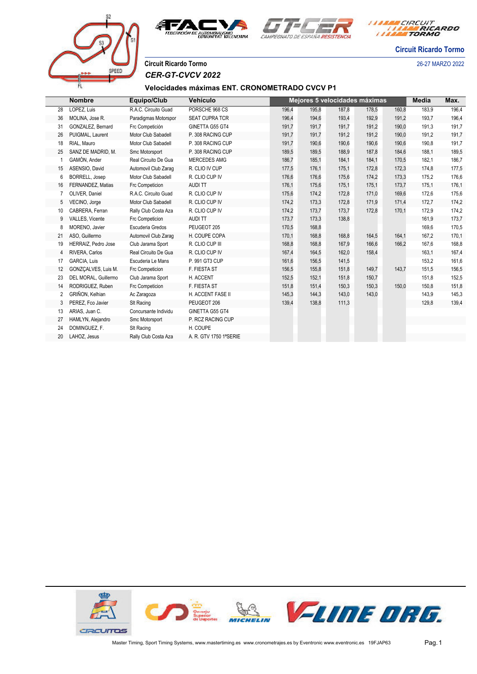



*I MARA CIRCUIT<br>I MARA RICARDO* 

**Circuit Ricardo Tormo**

**Circuit Ricardo Tormo** 26-27 MARZO 2022

# SPEET

Г

*CER-GT-CVCV 2022*

## **Velocidades máximas ENT. CRONOMETRADO CVCV P1**

|                | <b>Nombre</b>        | Equipo/Club          | Vehículo               |       |       |       | Mejores 5 velocidades máximas |       | <b>Media</b> | Max.  |
|----------------|----------------------|----------------------|------------------------|-------|-------|-------|-------------------------------|-------|--------------|-------|
| 28             | LOPEZ. Luis          | R.A.C. Circuito Guad | PORSCHE 968 CS         | 196,4 | 195.8 | 187.8 | 178.5                         | 160,8 | 183.9        | 196,4 |
| 36             | MOLINA, Jose R.      | Paradigmas Motorspor | <b>SEAT CUPRA TCR</b>  | 196.4 | 194.6 | 193.4 | 192.9                         | 191,2 | 193.7        | 196,4 |
| 31             | GONZALEZ, Bernard    | Frc Competición      | GINETTA G55 GT4        | 191,7 | 191.7 | 191.7 | 191,2                         | 190,0 | 191,3        | 191,7 |
| 26             | PUIGMAL, Laurent     | Motor Club Sabadell  | P. 308 RACING CUP      | 191,7 | 191,7 | 191,2 | 191,2                         | 190,0 | 191,2        | 191,7 |
| 18             | RIAL. Mauro          | Motor Club Sabadell  | P. 308 RACING CUP      | 191,7 | 190,6 | 190,6 | 190,6                         | 190,6 | 190,8        | 191,7 |
| 25             | SANZ DE MADRID, M.   | Smc Motorsport       | P. 308 RACING CUP      | 189,5 | 189,5 | 188,9 | 187,8                         | 184,6 | 188,1        | 189,5 |
|                | GAMÓN, Ander         | Real Circuito De Gua | MERCEDES AMG           | 186,7 | 185,1 | 184,1 | 184,1                         | 170,5 | 182,1        | 186,7 |
| 15             | ASENSIO, David       | Automovil Club Zaraq | R. CLIO IV CUP         | 177,5 | 176,1 | 175,1 | 172,8                         | 172,3 | 174,8        | 177,5 |
| 6              | BORRELL, Josep       | Motor Club Sabadell  | R. CLIO CUP IV         | 176,6 | 176,6 | 175,6 | 174,2                         | 173,3 | 175,2        | 176,6 |
| 16             | FERNANDEZ. Matias    | Frc Competicion      | <b>AUDI TT</b>         | 176.1 | 175.6 | 175.1 | 175.1                         | 173.7 | 175.1        | 176,1 |
| 7              | OLIVER, Daniel       | R.A.C. Circuito Guad | R. CLIO CUP IV         | 175,6 | 174,2 | 172,8 | 171,0                         | 169,6 | 172,6        | 175,6 |
| 5              | VECINO, Jorge        | Motor Club Sabadell  | R. CLIO CUP IV         | 174,2 | 173,3 | 172,8 | 171.9                         | 171,4 | 172,7        | 174,2 |
| 10             | CABRERA, Ferran      | Rally Club Costa Aza | R. CLIO CUP IV         | 174,2 | 173,7 | 173,7 | 172,8                         | 170,1 | 172,9        | 174,2 |
| 9              | VALLES, Vicente      | Frc Competicion      | <b>AUDITT</b>          | 173,7 | 173,3 | 138,8 |                               |       | 161,9        | 173,7 |
| 8              | MORENO, Javier       | Escuderia Gredos     | PEUGEOT 205            | 170,5 | 168,8 |       |                               |       | 169,6        | 170,5 |
| 21             | ASO. Guillermo       | Automovil Club Zaraq | H. COUPE COPA          | 170,1 | 168.8 | 168,8 | 164,5                         | 164,1 | 167.2        | 170,1 |
| 19             | HERRAIZ, Pedro Jose  | Club Jarama Sport    | R. CLIO CUP III        | 168,8 | 168,8 | 167.9 | 166.6                         | 166,2 | 167,6        | 168,8 |
| 4              | RIVERA, Carlos       | Real Circuito De Gua | R. CLIO CUP IV         | 167,4 | 164,5 | 162,0 | 158,4                         |       | 163,1        | 167,4 |
| 17             | <b>GARCIA, Luis</b>  | Escuderia Le Mans    | P. 991 GT3 CUP         | 161,6 | 156,5 | 141,5 |                               |       | 153,2        | 161,6 |
| 12             | GONZCALVES, Luis M.  | Frc Competicion      | F. FIESTA ST           | 156,5 | 155,8 | 151,8 | 149,7                         | 143,7 | 151,5        | 156,5 |
| 23             | DEL MORAL, Guillermo | Club Jarama Sport    | H. ACCENT              | 152,5 | 152,1 | 151,8 | 150,7                         |       | 151,8        | 152,5 |
| 14             | RODRIGUEZ, Ruben     | Frc Competicion      | F. FIESTA ST           | 151,8 | 151,4 | 150,3 | 150,3                         | 150,0 | 150,8        | 151,8 |
| $\overline{2}$ | GRIÑON, Kelhian      | Ac Zaragoza          | H. ACCENT FASE II      | 145,3 | 144,3 | 143,0 | 143,0                         |       | 143,9        | 145,3 |
| 3              | PEREZ, Fco Javier    | SIt Racing           | PEUGEOT 206            | 139,4 | 138,8 | 111,3 |                               |       | 129,8        | 139,4 |
| 13             | ARIAS, Juan C.       | Concursante Individu | GINETTA G55 GT4        |       |       |       |                               |       |              |       |
| 27             | HAMLYN, Alejandro    | Smc Motorsport       | P. RCZ RACING CUP      |       |       |       |                               |       |              |       |
| 24             | DOMINGUEZ, F.        | SIt Racing           | H. COUPE               |       |       |       |                               |       |              |       |
| 20             | LAHOZ, Jesus         | Rally Club Costa Aza | A. R. GTV 1750 1ªSERIE |       |       |       |                               |       |              |       |